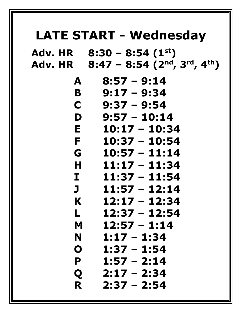## **LATE START - Wednesday**

**Adv. HR 8:30 – 8:54 (1st) Adv. HR 8:47 – 8:54 (2nd, 3rd, 4th)** 

| A           | $8:57 - 9:14$   |  |
|-------------|-----------------|--|
| B           | $9:17 - 9:34$   |  |
| C           | $9:37 - 9:54$   |  |
| D           | $9:57 - 10:14$  |  |
| E           | $10:17 - 10:34$ |  |
| F           | $10:37 - 10:54$ |  |
| G           | $10:57 - 11:14$ |  |
| Н           | $11:17 - 11:34$ |  |
| I           | $11:37 - 11:54$ |  |
| $\mathbf J$ | $11:57 - 12:14$ |  |
| K           | $12:17 - 12:34$ |  |
| L           | $12:37 - 12:54$ |  |
| M           | $12:57 - 1:14$  |  |
| N           | $1:17 - 1:34$   |  |
| O           | $1:37 - 1:54$   |  |
| P           | $1:57 - 2:14$   |  |
| Q           | $2:17 - 2:34$   |  |
| R           | $2:37 - 2:54$   |  |
|             |                 |  |